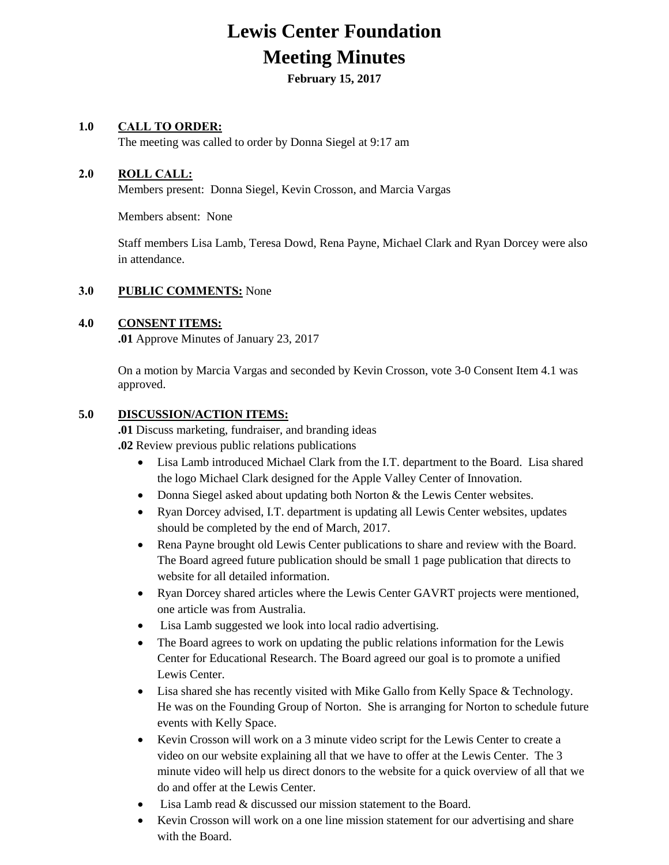# **Lewis Center Foundation Meeting Minutes**

**February 15, 2017**

### **1.0 CALL TO ORDER:**

The meeting was called to order by Donna Siegel at 9:17 am

#### **2.0 ROLL CALL:**

Members present: Donna Siegel, Kevin Crosson, and Marcia Vargas

Members absent: None

Staff members Lisa Lamb, Teresa Dowd, Rena Payne, Michael Clark and Ryan Dorcey were also in attendance.

#### **3.0 PUBLIC COMMENTS:** None

#### **4.0 CONSENT ITEMS:**

**.01** Approve Minutes of January 23, 2017

On a motion by Marcia Vargas and seconded by Kevin Crosson, vote 3-0 Consent Item 4.1 was approved.

#### **5.0 DISCUSSION/ACTION ITEMS:**

**.01** Discuss marketing, fundraiser, and branding ideas **.02** Review previous public relations publications

- Lisa Lamb introduced Michael Clark from the I.T. department to the Board. Lisa shared the logo Michael Clark designed for the Apple Valley Center of Innovation.
- Donna Siegel asked about updating both Norton & the Lewis Center websites.
- Ryan Dorcey advised, I.T. department is updating all Lewis Center websites, updates should be completed by the end of March, 2017.
- Rena Payne brought old Lewis Center publications to share and review with the Board. The Board agreed future publication should be small 1 page publication that directs to website for all detailed information.
- Ryan Dorcey shared articles where the Lewis Center GAVRT projects were mentioned, one article was from Australia.
- Lisa Lamb suggested we look into local radio advertising.
- The Board agrees to work on updating the public relations information for the Lewis Center for Educational Research. The Board agreed our goal is to promote a unified Lewis Center.
- Lisa shared she has recently visited with Mike Gallo from Kelly Space & Technology. He was on the Founding Group of Norton. She is arranging for Norton to schedule future events with Kelly Space.
- Kevin Crosson will work on a 3 minute video script for the Lewis Center to create a video on our website explaining all that we have to offer at the Lewis Center. The 3 minute video will help us direct donors to the website for a quick overview of all that we do and offer at the Lewis Center.
- Lisa Lamb read & discussed our mission statement to the Board.
- Kevin Crosson will work on a one line mission statement for our advertising and share with the Board.